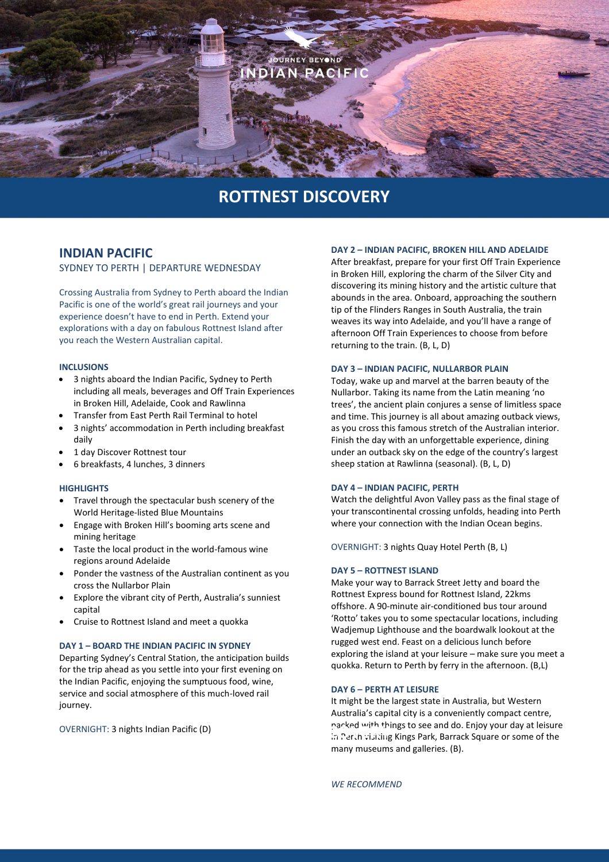

# **ROTTNEST DISCOVERY**

# **INDIAN PACIFIC**

SYDNEY TO PERTH | DEPARTURE WEDNESDAY

Crossing Australia from Sydney to Perth aboard the Indian Pacific is one of the world's great rail journeys and your experience doesn't have to end in Perth. Extend your explorations with a day on fabulous Rottnest Island after you reach the Western Australian capital.

#### **INCLUSIONS**

- 3 nights aboard the Indian Pacific, Sydney to Perth including all meals, beverages and Off Train Experiences in Broken Hill, Adelaide, Cook and Rawlinna
- Transfer from East Perth Rail Terminal to hotel
- 3 nights' accommodation in Perth including breakfast daily
- 1 day Discover Rottnest tour
- 6 breakfasts, 4 lunches, 3 dinners

#### **HIGHLIGHTS**

- Travel through the spectacular bush scenery of the World Heritage-listed Blue Mountains
- Engage with Broken Hill's booming arts scene and mining heritage
- Taste the local product in the world-famous wine regions around Adelaide
- Ponder the vastness of the Australian continent as you cross the Nullarbor Plain
- Explore the vibrant city of Perth, Australia's sunniest capital
- Cruise to Rottnest Island and meet a quokka

### **DAY 1 – BOARD THE INDIAN PACIFIC IN SYDNEY**

Departing Sydney's Central Station, the anticipation builds for the trip ahead as you settle into your first evening on the Indian Pacific, enjoying the sumptuous food, wine, service and social atmosphere of this much-loved rail journey.

OVERNIGHT: 3 nights Indian Pacific (D)

#### **DAY 2 – INDIAN PACIFIC, BROKEN HILL AND ADELAIDE**

After breakfast, prepare for your first Off Train Experience in Broken Hill, exploring the charm of the Silver City and discovering its mining history and the artistic culture that abounds in the area. Onboard, approaching the southern tip of the Flinders Ranges in South Australia, the train weaves its way into Adelaide, and you'll have a range of afternoon Off Train Experiences to choose from before returning to the train. (B, L, D)

#### **DAY 3 – INDIAN PACIFIC, NULLARBOR PLAIN**

Today, wake up and marvel at the barren beauty of the Nullarbor. Taking its name from the Latin meaning 'no trees', the ancient plain conjures a sense of limitless space and time. This journey is all about amazing outback views, as you cross this famous stretch of the Australian interior. Finish the day with an unforgettable experience, dining under an outback sky on the edge of the country's largest sheep station at Rawlinna (seasonal). (B, L, D)

#### **DAY 4 – INDIAN PACIFIC, PERTH**

Watch the delightful Avon Valley pass as the final stage of your transcontinental crossing unfolds, heading into Perth where your connection with the Indian Ocean begins.

OVERNIGHT: 3 nights Quay Hotel Perth (B, L)

#### **DAY 5 – ROTTNEST ISLAND**

Make your way to Barrack Street Jetty and board the Rottnest Express bound for Rottnest Island, 22kms offshore. A 90-minute air-conditioned bus tour around 'Rotto' takes you to some spectacular locations, including Wadjemup Lighthouse and the boardwalk lookout at the rugged west end. Feast on a delicious lunch before exploring the island at your leisure – make sure you meet a quokka. Return to Perth by ferry in the afternoon. (B,L)

#### **DAY 6 – PERTH AT LEISURE**

It might be the largest state in Australia, but Western Australia's capital city is a conveniently compact centre, packed with things to see and do. Enjoy your day at leisure parked with things to see and do. Enjoy your day at leisure<br>In Perth visiting Kings Park, Barrack Square or some of the many museums and galleries. (B).

*WE RECOMMEND*